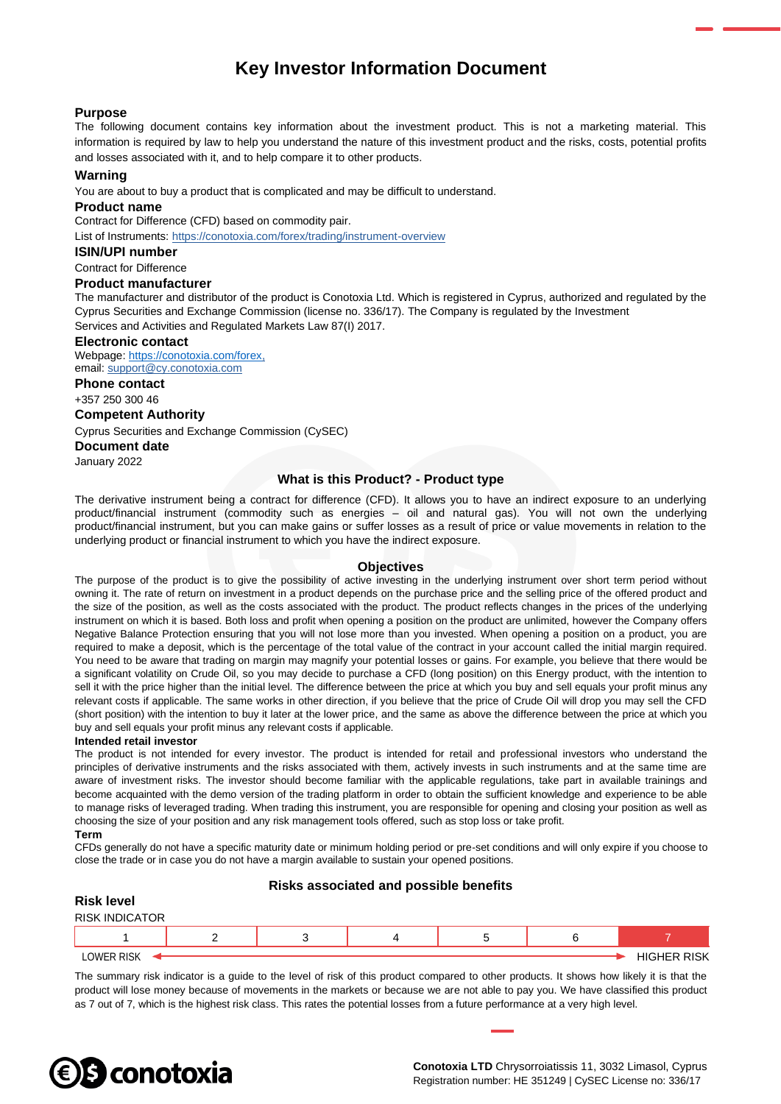# **Key Investor Information Document**

### **Purpose**

The following document contains key information about the investment product. This is not a marketing material. This information is required by law to help you understand the nature of this investment product and the risks, costs, potential profits and losses associated with it, and to help compare it to other products.

#### **Warning**

You are about to buy a product that is complicated and may be difficult to understand.

## **Product name**

Contract for Difference (CFD) based on commodity pair.

List of Instruments: <https://conotoxia.com/forex/trading/instrument-overview>

## **ISIN/UPI number**

Contract for Difference

### **Product manufacturer**

The manufacturer and distributor of the product is Conotoxia Ltd. Which is registered in Cyprus, authorized and regulated by the Cyprus Securities and Exchange Commission (license no. 336/17). The Company is regulated by the Investment Services and Activities and Regulated Markets Law 87(I) 2017.

#### **Electronic contact**

Webpage: [https://conotoxia.com/forex,](https://conotoxia.com/forex)

email: support@cy.conotoxia.com

# **Phone contact**

+357 250 300 46

#### **Competent Authority**

Cyprus Securities and Exchange Commission (CySEC) **Document date**

January 2022

# **What is this Product? - Product type**

The derivative instrument being a contract for difference (CFD). It allows you to have an indirect exposure to an underlying product/financial instrument (commodity such as energies – oil and natural gas). You will not own the underlying product/financial instrument, but you can make gains or suffer losses as a result of price or value movements in relation to the underlying product or financial instrument to which you have the indirect exposure.

### **Objectives**

The purpose of the product is to give the possibility of active investing in the underlying instrument over short term period without owning it. The rate of return on investment in a product depends on the purchase price and the selling price of the offered product and the size of the position, as well as the costs associated with the product. The product reflects changes in the prices of the underlying instrument on which it is based. Both loss and profit when opening a position on the product are unlimited, however the Company offers Negative Balance Protection ensuring that you will not lose more than you invested. When opening a position on a product, you are required to make a deposit, which is the percentage of the total value of the contract in your account called the initial margin required. You need to be aware that trading on margin may magnify your potential losses or gains. For example, you believe that there would be a significant volatility on Crude Oil, so you may decide to purchase a CFD (long position) on this Energy product, with the intention to sell it with the price higher than the initial level. The difference between the price at which you buy and sell equals your profit minus any relevant costs if applicable. The same works in other direction, if you believe that the price of Crude Oil will drop you may sell the CFD (short position) with the intention to buy it later at the lower price, and the same as above the difference between the price at which you buy and sell equals your profit minus any relevant costs if applicable.

#### **Intended retail investor**

The product is not intended for every investor. The product is intended for retail and professional investors who understand the principles of derivative instruments and the risks associated with them, actively invests in such instruments and at the same time are aware of investment risks. The investor should become familiar with the applicable regulations, take part in available trainings and become acquainted with the demo version of the trading platform in order to obtain the sufficient knowledge and experience to be able to manage risks of leveraged trading. When trading this instrument, you are responsible for opening and closing your position as well as choosing the size of your position and any risk management tools offered, such as stop loss or take profit.

#### **Term**

**Risk level**

CFDs generally do not have a specific maturity date or minimum holding period or pre-set conditions and will only expire if you choose to close the trade or in case you do not have a margin available to sustain your opened positions.

### **Risks associated and possible benefits**

| INDIN IGVGI           |  |  |                    |
|-----------------------|--|--|--------------------|
| <b>RISK INDICATOR</b> |  |  |                    |
|                       |  |  |                    |
| <b>LOWER RISK</b>     |  |  | <b>HIGHER RISK</b> |

The summary risk indicator is a guide to the level of risk of this product compared to other products. It shows how likely it is that the product will lose money because of movements in the markets or because we are not able to pay you. We have classified this product as 7 out of 7, which is the highest risk class. This rates the potential losses from a future performance at a very high level.

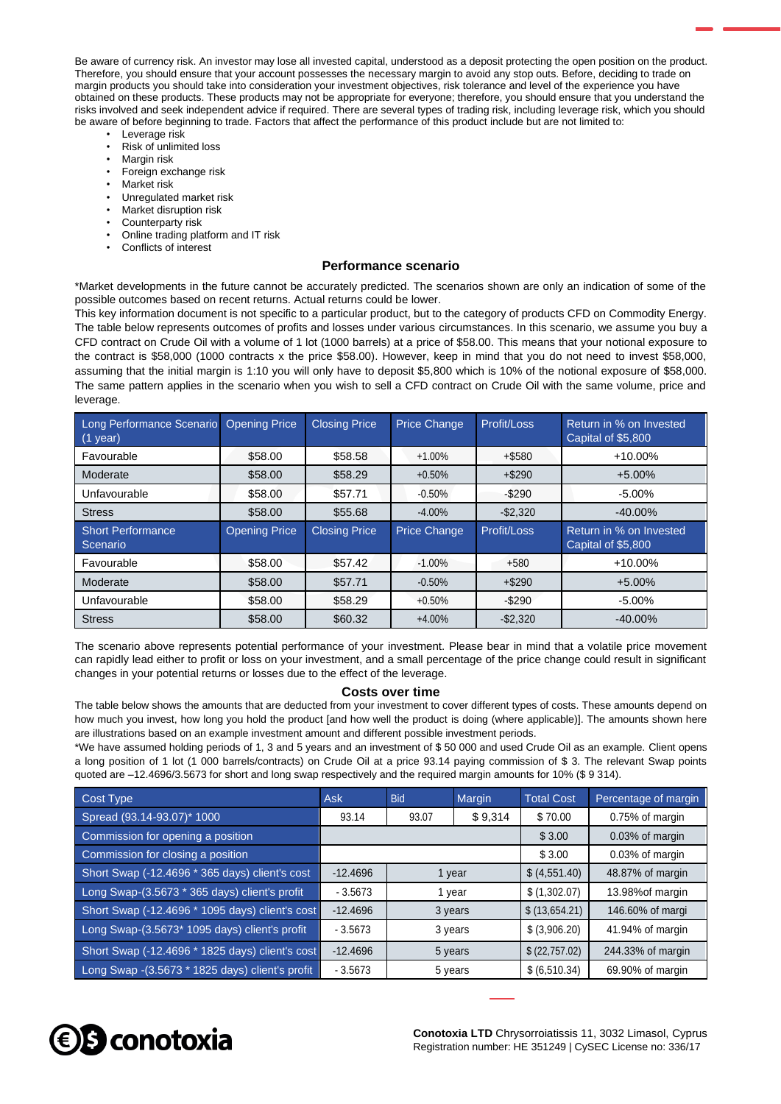Be aware of currency risk. An investor may lose all invested capital, understood as a deposit protecting the open position on the product. Therefore, you should ensure that your account possesses the necessary margin to avoid any stop outs. Before, deciding to trade on margin products you should take into consideration your investment objectives, risk tolerance and level of the experience you have obtained on these products. These products may not be appropriate for everyone; therefore, you should ensure that you understand the risks involved and seek independent advice if required. There are several types of trading risk, including leverage risk, which you should be aware of before beginning to trade. Factors that affect the performance of this product include but are not limited to:

- Leverage risk
	- Risk of unlimited loss
	- Margin risk
	- Foreign exchange risk
	- Market risk
	- Unregulated market risk
	- Market disruption risk
	- Counterparty risk
	- Online trading platform and IT risk
	- Conflicts of interest

## **Performance scenario**

\*Market developments in the future cannot be accurately predicted. The scenarios shown are only an indication of some of the possible outcomes based on recent returns. Actual returns could be lower.

This key information document is not specific to a particular product, but to the category of products CFD on Commodity Energy. The table below represents outcomes of profits and losses under various circumstances. In this scenario, we assume you buy a CFD contract on Crude Oil with a volume of 1 lot (1000 barrels) at a price of \$58.00. This means that your notional exposure to the contract is \$58,000 (1000 contracts x the price \$58.00). However, keep in mind that you do not need to invest \$58,000, assuming that the initial margin is 1:10 you will only have to deposit \$5,800 which is 10% of the notional exposure of \$58,000. The same pattern applies in the scenario when you wish to sell a CFD contract on Crude Oil with the same volume, price and leverage.

| Long Performance Scenario Opening Price<br>$(1$ year) |                      | <b>Closing Price</b> | <b>Price Change</b> | Profit/Loss | Return in % on Invested<br>Capital of \$5,800 |
|-------------------------------------------------------|----------------------|----------------------|---------------------|-------------|-----------------------------------------------|
| Favourable                                            | \$58.00              | \$58.58              | $+1.00\%$           | $+ $580$    | $+10.00\%$                                    |
| Moderate                                              | \$58,00              | \$58.29              | $+0.50%$            | $+$ \$290   | $+5.00\%$                                     |
| Unfavourable                                          | \$58.00              | \$57.71              | $-0.50%$            | $-$ \$290   | $-5.00\%$                                     |
| <b>Stress</b>                                         | \$58,00              | \$55.68              | $-4.00%$            | $-$2,320$   | $-40.00\%$                                    |
| <b>Short Performance</b>                              | <b>Opening Price</b> | <b>Closing Price</b> | <b>Price Change</b> | Profit/Loss | Return in % on Invested                       |
| Scenario                                              |                      |                      |                     |             | Capital of \$5,800                            |
| Favourable                                            | \$58.00              | \$57.42              | $-1.00\%$           | $+580$      | $+10.00\%$                                    |
| Moderate                                              | \$58.00              | \$57.71              | $-0.50%$            | $+ $290$    | $+5.00%$                                      |
| Unfavourable                                          | \$58.00              | \$58.29              | $+0.50\%$           | $-$ \$290   | $-5.00\%$                                     |

The scenario above represents potential performance of your investment. Please bear in mind that a volatile price movement can rapidly lead either to profit or loss on your investment, and a small percentage of the price change could result in significant changes in your potential returns or losses due to the effect of the leverage.

#### **Costs over time**

The table below shows the amounts that are deducted from your investment to cover different types of costs. These amounts depend on how much you invest, how long you hold the product [and how well the product is doing (where applicable)]. The amounts shown here are illustrations based on an example investment amount and different possible investment periods.

\*We have assumed holding periods of 1, 3 and 5 years and an investment of \$ 50 000 and used Crude Oil as an example. Client opens a long position of 1 lot (1 000 barrels/contracts) on Crude Oil at a price 93.14 paying commission of \$ 3. The relevant Swap points quoted are –12.4696/3.5673 for short and long swap respectively and the required margin amounts for 10% (\$ 9 314).

| Cost Type                                        | <b>Ask</b> | <b>Bid</b> | <b>Margin</b> | <b>Total Cost</b> | Percentage of margin |
|--------------------------------------------------|------------|------------|---------------|-------------------|----------------------|
| Spread (93.14-93.07)* 1000                       | 93.14      | 93.07      | \$9,314       | \$70.00           | 0.75% of margin      |
| Commission for opening a position                |            |            |               | \$3.00            | 0.03% of margin      |
| Commission for closing a position                |            |            |               | \$3.00            | 0.03% of margin      |
| Short Swap (-12.4696 * 365 days) client's cost   | $-12.4696$ | 1 year     |               | \$ (4,551.40)     | 48.87% of margin     |
| Long Swap-(3.5673 * 365 days) client's profit    | $-3.5673$  | 1 year     |               | \$ (1,302.07)     | 13.98% of margin     |
| Short Swap (-12.4696 * 1095 days) client's cost  | $-12.4696$ | 3 years    |               | \$(13,654.21)     | 146.60% of margi     |
| Long Swap-(3.5673* 1095 days) client's profit    | $-3.5673$  | 3 years    |               | \$ (3,906.20)     | 41.94% of margin     |
| Short Swap (-12.4696 * 1825 days) client's cost  | $-12.4696$ | 5 years    |               | \$ (22,757.02)    | 244.33% of margin    |
| Long Swap - (3.5673 * 1825 days) client's profit | $-3.5673$  | 5 years    |               | \$ (6,510.34)     | 69.90% of margin     |